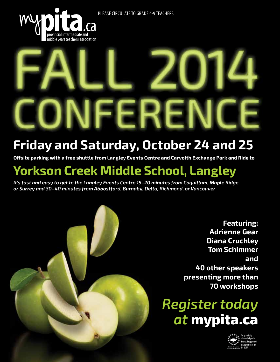Please Circulate To Grade 4-9 Teachers



# **Friday and Saturday, October 24 and 25**

**Offsite parking with a free shuttle from Langley Events Centre and Carvolth Exchange Park and Ride to**

## **Yorkson Creek Middle School, Langley**

*It's fast and easy to get to the Langley Events Centre 15–20 minutes from Coquitlam, Maple Ridge, or Surrey and 30–40 minutes from Abbostford, Burnaby, Delta, Richmond, or Vancouver*

> **Featuring: Adrienne Gear Diana Cruchley Tom Schimmer and 40 other speakers presenting more than 70 workshops**

# *Register today at* **mypita.ca**

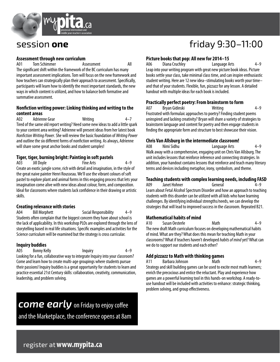

### **Assessment through new curriculum**

A01 Tom Schimmer **Assessment** All The significant shift within the framework of the BC curriculum has many important assessment implications. Tom will focus on the new framework and how teachers can strategically plan their approach to assessment. Specifically, participants will learn how to identify the most important standards, the new ways in which content is utilized, and how to balance both formative and summative assessment.

### **Nonfiction writing power: Linking thinking and writing to the content areas**

A02 Adrienne Gear Writing 4–7 Tired of the same old report writing? Need some new ideas to add a little spark to your content area writing? Adrienne will present ideas from her latest book *Nonfiction Writing Power*. She will review the basic foundation of *Writing Power*  and outline the six different forms of nonfiction writing. As always, Adrienne will share some great anchor books and student samples!

### **Tiger, tiger, burning bright: Painting in soft pastels**

A03 Jill Doyle Fine Arts 4–9 Create an exotic jungle scene, rich with detail and imagination, in the style of the great naive painter Henri Rousseau. We'll use the vibrant colours of soft pastel to explore plant and animal forms in this engaging process that lets your imagination come alive with new ideas about colour, form, and composition. Ideal for classrooms where students lack confidence in their drawing or artistic skills.

### **Creating relevance with stories**

A04 Bill Morphett Social Responsibility 4–9 Students often complain that the biggest concern they have about school is the lack of applicability. In this workshop PLOs are explored through the lens of storytelling based in real life situations. Specific examples and activities for the Science curriculum will be examined but the strategy is cross curricular.

### **Inquiry buddies**

A05 Bonny Kelly **Inquiry** 1–9 Looking for a fun, collaborative way to integrate Inquiry into your classroom? Come and learn how to create multi-age groupings where students pursue their passions! Inquiry buddies is a great opportunity for students to learn and practice essential 21st Century skills: collaboration, creativity, communication, leadership, and problem solving.

## *come early* on Friday to enjoy coffee

and the Marketplace, the conference opens at 8am

## session **one** friday 9:30–11:00

### **Picture books that pop: All new for 2014–15**

A06 Diana Cruchley Language Arts 4–9 Leap into your writing program with great new picture book ideas. Picture books settle your class, take minimal class time, and can inspire enthusiastic student writing. Here are 12 new idea–stimulating books worth your time– and that of your students. Flexible, fun, pizzazz for any lesson. A detailed handout with multiple ideas for each book is included.

### **Practically perfect poetry: From brainstorm to form**

A07 Bryan Gidinski Writing 4–9 Frustrated with formulaic approaches to poetry? Finding student poems uninspired and lacking creativity? Bryan will share a variety of strategies to brainstorm language and content for poetry and then engage students in finding the appropriate form and structure to best showcase their vision.

### **Chris Van Allsburg in the intermediate classroom!**

A08 Nimi Sidhu Language Arts 4–9 Walk away with a comprehensive, engaging unit on Chris Van Allsburg. The unit includes lessons that reinforce inference and connecting strategies. In addition, your handout contains lessons that reinforce and teach many literary terms and devices including metaphor, irony, symbolism, and theme.

### **Teaching students with complex learning needs, including FASD**

A09 Janet Hohner General 4–9 Learn about Fetal Alcohol Spectrum Disorder and how an approach to teaching students with this disorder can be utilized with all kids who have learning challenges. By identifying individual strengths/needs, we can develop the strategies that will lead to improved success in the classroom. Repeated B21.

### **Mathematical habits of mind**

A10 Susan Oesterle Math 4–9 The new draft Math curriculum focuses on developing mathematical habits of mind. What are they? What does this mean for teaching Math in your classrooms? What if teachers haven't developed *habits of mind* yet? What can we do to support our students and each other?

### **Add pizzazz to Math with thinking games**

A11 Barbara Johnson Math 4–9 Strategy and skill building games can be used to excite most math learners; enrich the precocious and entice the reluctant. Play and experience how games are a powerful learning tool in this hands-on workshop. A ready-touse handout will be included with activities to enhance: strategic thinking, problem solving, and group effectiveness.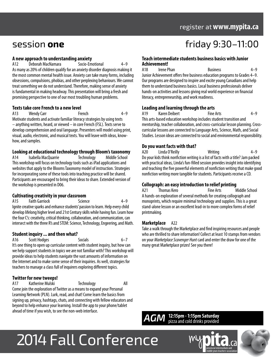### register at**www.mypita.ca**

### **A new approach to understanding anxiety**

A12 Deborah MacNamara Socio-Emotional 4–9 As many as 20% of children qualify for an anxiety disorder diagnosis making it the most common mental health issue. Anxiety can take many forms, including obsessions, compulsions, phobias, and other perplexing behaviours. We cannot treat something we do not understand. Therefore, making sense of anxiety is fundamental in making headway. This presentation will bring a fresh and promising perspective to one of our most troubling human problems.

### **Texts take core French to a new level**

A13 Wendy Carr French 4–9 Motivate students and activate familiar literacy strategies by using texts – anything written, heard, or viewed – in core French (FSL). Texts serve to develop comprehension and oral language. Presenters will model using print, visual, audio, electronic, and musical texts. You will leave with ideas, knowhow, and samples.

### **Looking at educational technology through Bloom's taxonomy**

A14 Isabella MacQuarrie Technology Middle School This workshop will focus on technology tools such as iPad applications and websites that apply to the Blooms Taxonomy model of instruction. Strategies for incorporating some of these tools into teaching practice will be shared. Participants are encouraged to bring their ideas to share. Extended version of the workshop is presented in D06.

### **Cultivating creativity in your classroom**

A15 Faith Garriock Science 4–9 Ignite creative sparks and enhance students' passion to learn. Help every child develop lifelong higher level and 21st Century skills while having fun. Learn how the four C's: creativity, critical thinking, collaboration, and communication, can intersect with the three R's and STEM: Science, Technology, Engeering, and Math.

### **Student inquiry ... and then what?**

A16 Scott Hodges Socials 6–7

It's one thing to open up curricular content with student inquiry, but how can we help support students in topics we are not familiar with? This workshop will provide ideas to help students navigate the vast amounts of information on the Internet and to make some sense of their inquiries. As well, strategies for teachers to manage a class full of inquirers exploring different topics.

### **Twitter for new tweeps!**

A17 Katherine Mulski Technology All Come join the exploration of Twitter as a means to expand your Personal Learning Network (PLN). Lurk, read, and chat! Come learn the basics from signing up, privacy, hashtags, chats, and connecting with fellow educators and beyond to help enhance your learning. Install the app to your phone/tablet ahead of time if you wish, to see the non-web interface.

## session **one** friday 9:30–11:00

### **Teach intermediate students business basics with Junior Achievement!**

A18 Irene Phan Business 4–9 Junior Achievement offers free business education programs to Grades 4–9. Our programs are designed to inspire and excite young Canadians and help them to understand business basics. Local business professionals deliver hands-on activities and lessons giving real world experience on financial literacy, entrepreneurship, and work readiness.

### **Leading and learning through the arts**

A19 Karen Deibert **Fine Arts** Fine Arts 4–9 This arts-based education workshop includes student transition and mentorship, teacher collaboration, and cross-curricular lesson planning. Crosscurricular lessons are connected to Language Arts, Science, Math, and Social Studies. Lesson ideas are connected to social and environmental responsibility.

### **Do you want facts with that?**

A20 Linda O'Reilly Writing Writing 4–9 Do your kids think nonfiction writing is a list of facts with a title? Jam packed with practical ideas, Linda's fun-filled session provides insight into identifying and teaching the five powerful elements of nonfiction writing that make good nonfiction writing more tangible for students. Participants receive a CD.

### **Collograph: an easy introduction to relief printing**

A21 Thomas Kero **Fine Arts** Middle School A hands-on exploration of several methods for creating collograph and monoprints, which require minimal technology and supplies. This is a great stand-alone lesson or an excellent lead-in to more complex forms of relief printmaking.

### **Marketplace** A22

Take a walk through the Marketplace and find inspiring resources and people who are thrilled to share information! Collect at least 10 stamps from vendors on your *Marketplace Scavenger Hunt* card and enter the draw for one of the many great Marketplace prizes! See you there!

### *AGM* **12:15pm - 1:15pm Saturday** pizza and cold drinks provided

# 2014 Fall Conference

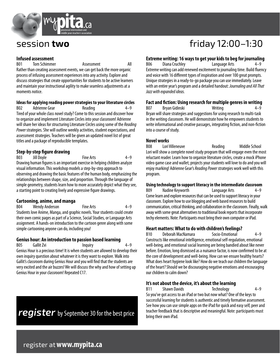

### **Infused assessment**

moments notice.

B01 Tom Schimmer Assessment All Rather than creating assessment events, we can get back the more organic process of infusing assessment experiences into any activity. Explore and discuss strategies that create opportunities for students to be active learners and maintain your instructional agility to make seamless adjustments at a

**Ideas for applying reading power strategies to your literature circles**<br>B02 **Adrienne Gear** Reading **Reading** 4-9 Adrienne Gear Reading Reading 1–9 Tired of your whole class novel study? Come to this session and discover how to organize and implement Literature Circles into your classroom! Adrienne will share her ideas for structuring Literature Circles using some of the *Reading Power* strategies. She will outline weekly activities, student expectations, and assessment strategies. Teachers will be given an updated novel list of great titles and a package of reproducible templates.

### **Step-by-step figure drawing**

B03 Jill Doyle Fine Arts 4–9 Drawing human figures is an important exercise in helping children analyze visual information. This workshop models a step-by-step approach to observing and drawing the basic features of the human body, emphasizing the relationships between shape, size, and proportion. Through the language of simple geometry, students learn how to more accurately depict what they see, a starting point to creating lively and expressive figure drawings.

### **Cartooning, anime, and manga**

B04 Wendy Anderson Fine Arts 4–9 Students love Anime, Manga, and graphic novels. Your students could create their own comic pages as part of a Science, Social Studies, or Language Arts assignment. A hands-on introduction to the cartoon genre along with some simple cartooning anyone can do, including you!

### **Genius hour: An introduction to passion based learning**

B05 Gallit Zvi **Inquiry** 1-9 Genius Hour is a precious time! It is when students are allowed to develop their own inquiry question about whatever it is they want to explore. Walk into Gallit's classroom during Genius Hour and you will find that the students are very excited and the air buzzes! We will discuss the why and how of setting up Genius Hour in your classroom! Repeated C17.

*register* by September 30 for the best price

## session **two** friday 12:00–1:30

### **Extreme writing: 16 ways to get your kids to beg for journaling**

B06 Diana Cruchley **Language Arts** Extreme writing can add renewed excitement to journaling time. Build fluency and voice with 16 different types of inspiration and over 100 great prompts. Unique strategies in a ready-to-go package you can use immediately. Leave with an entire year's program and a detailed handout: *Journaling and All That Jazz with expanded ideas.*

### **Fact and fiction: Using research for multiple genres in writing**

Bryan Gidinski Writing 1-9 Bryan will share strategies and suggestions for using research to multi-task in the writing classroom. He will demonstrate how he empowers students to write informational and creative passages, integrating fiction, and non-fiction into a course of study.

### **Novel works**

B08 Lori Villeneuve **Reading** Middle School Lori will show a complete novel study program that will engage even the most reluctant reader. Learn how to organize literature circles, create a mock iPhone video game case and wallet; projects your students will love to do and you will enjoy marking! Adrienne Gear's *Reading Power* strategies work well with this program.

### **Using technology to support literacy in the intermediate classroom**

B09 Nadine Keyworth Language Arts 4–9 Come learn and explore resources that can be used to support literacy in your classroom. Explore how to use blogging and web based resources to build communication, critical thinking, and collaboration in the classroom. Finally, walk away with some great alternatives to traditional book reports that incorporate techy elements. Note: Participants must bring their own computer or iPad.

### **Heart matters: What to do with children's feelings?**

B10 Deborah MacNamara Socio-Emotional 4–9 Constructs like emotional intelligence, emotional self-regulation, emotional well-being, and emotional social learning are being bandied about like never before. Emotion, long dismissed as a nuisance factor, is now confirmed to be at the core of development and well-being. How can we ensure healthy hearts? What does heart hygiene look like? How do we teach our children the language of the heart? Should we be discouraging negative emotions and encouraging our children to calm down?

### **It's not about the device, it's about the learning**

B11 Shawn Davids Technology 4–9 So you've got access to an iPad or two but now what? One of the keys to successful learning for students is authentic and timely formative assessment. See how you can use simple apps on the iPad for quick and easy self, peer and teacher feedback that is descriptive and meaningful. Note: participants must bring their own iPad.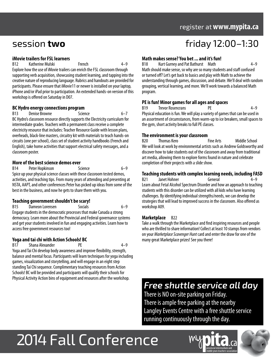### register at**www.mypita.ca**

### **iMovie trailers for FSL learners**

B12 Katherine Mulski French 4–9 Explore how the use of iMovie trailers can enrich the FSL classroom through supporting verb acquisition, showcasing student learning, and tapping into the creative nature of reproducing language. Rubrics and handouts are provided for participants. Please ensure that iMovie11 or newer is installed on your laptop, iPhone and/or iPad prior to participation. An extended hands-on version of this workshop is offered on Saturday in D07.

### **BC Hydro energy connections program**

B13 Denise Browne Science 6–7 BC Hydro's classroom resource directly supports the Electricity curriculum for intermediate grades. Teachers with a permanent class receive a complete electricity resource that includes: Teacher Resource Guide with lesson plans, overheads, black-line masters, circuitry kit with materials to teach hands-on circuits (one per school), class set of student activity handbooks (French and English), take home activities that support electrical safety messages, and a classroom poster.

### **More of the best science demos ever**

B14 Peter Hopkinson Science 6–9 Spice up your physical science classes with these classroom tested demos, activities, and teaching tips. From many years of attending and presenting at NSTA, AAPT, and other conferences Peter has picked up ideas from some of the best in the business, and now he gets to share them with you.

### **Teaching government shouldn't be scary!**

B15 Dameon Lorensen Socials 6–9 Engage students in the democratic processes that make Canada a strong democracy. Learn more about the Provincial and Federal governance systems and get your students involved in fun and engaging activities. Learn how to access free government resources too!

### **Yoga and tai chi with Action Schools! BC**

B17 Shana Alexander PF 94–9 Yoga and Tai Chi develop body awareness and improve flexibility, strength, balance and mental focus. Participants will learn techniques for yoga including games, visualization and storytelling, and will engage in an eight step standing Tai Chi sequence. Complimentary teaching resources from Action Schools! BC will be provided and participants will qualify their schools for Physical Activity Action bins of equipment and resources after the workshop.

## session **two** friday 12:00–1:30

### **Math makes sense? You bet ... and it's fun!**

B18 Kurt Gurney and Pat Bathurst Math 4–9

Math should make sense, so why are so many students and staff confused or turned off? Let's get back to basics and play with Math to achieve the understanding through games, discussion, and debate. We'll deal with random grouping, vertical learning, and more. We'll work towards a balanced Math program.

### **PE is fun! Minor games for all ages and spaces**

B19 Trevor Rosencrans PE 4–9 Physical education is fun. We will play a variety of games that can be used in an assortment of circumstances, from warm-up to ice breakers, small spaces to the gym, short activity breaks to full PE classes.

### **The environment is your classroom**

B20 Thomas Kero **Fine Arts** Middle School We will look at work by environmental artists such as Andrew Goldsworthy and discover how to take students out of the classroom and away from traditional art media, allowing them to explore forms found in nature and celebrate completion of their projects with a slide show.

### **Teaching students with complex learning needs, including FASD**

B<sub>21</sub> Janet Hohner General 4–9 Learn about Fetal Alcohol Spectrum Disorder and how an approach to teaching students with this disorder can be utilized with all kids who have learning challenges. By identifying individual strengths/needs, we can develop the strategies that will lead to improved success in the classroom. Also offered as workshop A09.

### **Marketplace** B22

Take a walk through the Marketplace and find inspiring resources and people who are thrilled to share information! Collect at least 10 stamps from vendors on your *Marketplace Scavenger Hunt* card and enter the draw for one of the many great Marketplace prizes! See you there!

### *Free shuttle service all day*

There is NO on-site parking on Friday. There is ample free parking at the nearby Langley Events Centre with a free shuttle service running continuously through the day.

# 2014 Fall Conference

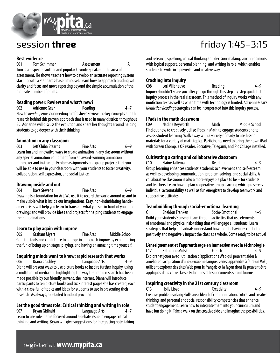

### **Best evidence**

C01 Tom Schimmer Assessment All Tom is a respected author and popular keynote speaker in the area of assessment. He shows teachers how to develop an accurate reporting system starting with a standards-based mindset. Learn how to approach grading with clarity and focus and move reporting beyond the simple accumulation of the requisite number of points.

### **Reading power: Review and what's new?**

C02 Adrienne Gear Reading 4–7 New to *Reading Power* or needing a refresher? Review the key concepts and the research behind this proven approach that is used in many districts throughout BC. Adrienne will discuss the evolution and share her thoughts around helping students to go deeper with their thinking.

### **Animation in any classroom**

C03 Jeff Chiba Stearns Fine Arts 6–9 Learn fun and innovative ways to create animation in any classroom without any special animation equipment from an award-winning animation filmmaker and instructor. Explore assignments and group projects that you will be able to use in your classroom with your students to foster creativity, collaboration, self expression, and social justice.

### **Drawing inside and out**

C04 Dave Stevens Fine Arts 6–9 Drawing is a foundation for Art. We use it to record the world around us and to make visible what is inside our imaginations. Easy, non-intimidating handson exercises will help you learn to translate what you see in front of you into drawings and will provide ideas and projects for helping students to engage their imaginations.

### **Learn to play again with improv**

C05 Graham Myers Fine Arts Middle School Gain the tools and confidence to engage in and coach improv by experiencing the fun of being up on stage, playing, and having an amazing time yourself.

### **Enquiring minds want to know: rapid research that works**

C06 Diana Cruchley Language Arts 4–9 Diana will present ways to use picture books to inspire further inquiry, using a multitude of media and highlighting the way that rapid research has been made possible by our friendly servant, the Internet. Diana will introduce participants to ten picture books and six Pinterest pages she has created, each with a class-full of topics and ideas for students to use in presenting their research. As always, a detailed handout provided.

### **Let the good times role: Critical thinking and writing in role**

C07 Bryan Gidinski Language Arts 4–7 Learn to use role drama focused around a debate issue to engage critical thinking and writing. Bryan will give suggestions for integrating note-taking

## session **three friday** 1:45–3:15

and research, speaking, critical thinking and decision-making, voicing opinions with logical support, personal planning, and writing in role, which enables students to write in a powerful and creative way.

### **Crashing into inquiry**

C08 Lori Villeneuve Reading 4–9 Inquiry shouldn't scare you after you go through this step-by-step guide to the inquiry process in the real classroom. This method of inquiry works with any nonfiction text as well as when time with technology is limited. Adrienne Gear's *Nonfiction Reading* strategies can be incorporated into this inquiry process.

### **IPads in the math classroom**

C09 Nadine Keyworth Math Middle School Find out how to creatively utilize iPads in Math to engage students and to assess student learning. Walk away with a variety of ready to use lesson materials for a variety of math topics. Participants need to bring their own iPad with Screen Chomp, a QR reader, Socrative, Telegami, and Pic Collage installed.

### **Cultivating a caring and collaborative classroom**

C10 Elaine Jaltema Reading 4–9 Group learning enhances students' academic achievement and self-esteem as well as developing communication, problem-solving, and social skills. A collaborative classroom is also a more enjoyable place to be – for students and teachers. Learn how to plan cooperative group learning which preserves individual accountability as well as fun energizers to develop teamwork and cooperative attitudes.

### **Teambuilding through social-emotional learning**

C11 Sheldon Franken Socio-Emotional 4–9 Build your students' sense of team through activities that use elements of emotional and physical risk-taking that will engage all students. Learn strategies that help individuals understand how their behaviours can both positively and negatively impact the class as a whole. Come ready to be active!

### **L'enseignement et l'apprentissage en immersion avec la téchnologie**

C12 Katherine Mulski French 4–9 Explorer et jouer avec l'utilisation d'applications Web qui peuvent aider à améliorer l'acquisition d'une deuxième langue. Venez apprendre à faire un Voki, utilisent explorer des sites Web pour le français et la façon dont ils peuvent être appliqués dans votre classe. Rubriques et les documents seront fournis.

### **Inspiring creativity in the 21st century classroom**

C13 Holly Lloyd Creativity 4–9 Creative problem solving skills are a blend of communication, critical and creative thinking, and personal and social responsibility competencies that enhance student engagement. Learn how to integrate them into your curriculum and have fun doing it! Take a walk on the creative side and imagine the possibilities.

### register at**www.mypita.ca**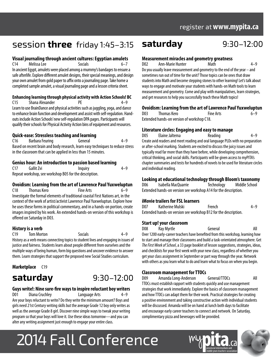## session **three** friday 1:45–3:15 **saturday** 9:30–12:00

### **Visual journaling through ancient cultures: Egyptian amulets**

C14 Melissa Lee Socials In ancient Egypt, amulets were placed among a mummy's bandages to ensure a safe afterlife. Explore different amulet designs, their special meanings, and design your own amulet from gold paper to affix onto a journaling page. Take home a completed sample amulet, a visual journaling page and a lesson criteria sheet.

### **Enhancing learning through physical activity with Action Schools! BC**

C15 Shana Alexander PE 4–9 Learn to use BrainDance and physical activities such as juggling, yoga, and dance to enhance brain function and development and assist with self-regulation. Handouts include Action Schools' new self-regulation DPA pages. Participants will qualify their schools for Physical Activity Action bins of equipment and resources.

### **Quick-ease: Stressless teaching and learning**

C16 Barbara Feuring General 4–9 Based on recent brain and body research, learn easy techniques to reduce stress in the classroom that can be applied in less than 15 minutes.

### **Genius hour: An introduction to passion based learning**

| (17)                                                   | Gallit Zvi | Inguiry | $4 - 9$ |  |
|--------------------------------------------------------|------------|---------|---------|--|
| Repeat workshop, see workshop B05 for the description. |            |         |         |  |

### **Ovoidism: Learning from the art of Lawrence Paul Yuxweluptun**

C18 Thomas Kero Fine Arts 6–9 Investigate the formal elements of traditional coastal First Nations art, in the context of the work of artist/activist Lawrence Paul Yuxweluptun. Explore how he uses these forms in political commentary, and in a hands-on portion, create images inspired by his work. An extended hands-on version of this workshop is offered on Saturday in D03.

### **History is a verb**

C19 Tom Morton Socials 4–9 History as a verb means connecting topics to student lives and engaging in issues of justice and fairness. Students learn about people different from ourselves and the multiple ways of being human, form big questions and uncover evidence to answer them. Learn strategies that support the proposed new Social Studies curriculum.

### **Marketplace** C19



### **Guys write!: Nine sure-fire ways to inspire reluctant boy writers**

D01 Diana Cruchley Language Arts Are your boys reluctant to write? Do they write the minimum amount? Boys and girls need 21st Century writing skills but the average Grade 12 boy only writes as well as the average Grade 8 girl. Discover nine simple ways to tweak your writing program so that your boys will love it. Use these ideas tomorrow—and you can alter any writing assignment just enough to engage your entire class.

### **Measurement miracles and geometry greatness**

D02 Ann-Marie Hunter Math 4–9

Do you usually leave measurement and geometry to the end of the year – and sometimes run out of time for the unit? Those topics can be ones that draw students into Math and become stepping stones to other learning! Let's talk about ways to engage and motivate your students with hands-on Math tools to learn measurement and geometry. Come and play with manipulatives, learn strategies, and get resources to help you successfully teach these Math topics!

### **Ovoidism: Learning from the art of Lawrence Paul Yuxweluptun**

| DO3                                        | Thomas Kero | <b>Fine Arts</b> | $6 - 9$ |  |
|--------------------------------------------|-------------|------------------|---------|--|
| Extended hands-on version of workshop C18. |             |                  |         |  |

### **Literature circles: Engaging and easy to manage**

D05 Elaine Jaltema Reading 4–9 Create avid readers and meet reading and oral language PLOs with no preparation or after-school marking. Students are excited to discuss the juicy issues and typically read far more than they have before, while developing comprehension, critical thinking, and social skills. Participants will be given access to myPITA's chapter summaries and tests for hundreds of novels to be used for literature circles and individual reading.

### **Looking at educational technology through Bloom's taxonomy**

D06 Isabella MacQuarrie Technology Middle School Extended hands-on version see workshop A14 for the description.

### **iMovie trailers for FSL learners**

| D <sub>0</sub> 7                                                | Katherine Mulski | French | $4 - 9$ |  |
|-----------------------------------------------------------------|------------------|--------|---------|--|
| Extended hands-on version see workshop B12 for the description. |                  |        |         |  |

### **Start up! your classroom**

D08 Ray Myrtle General All Over 1200 early-career teachers have benefited from this workshop, learning how to start and manage their classrooms and build a task-orientated atmosphere. Get *The First Week of School*, a 33 page booklet of lesson suggestions, strategies, ideas, and checklists for your first week with your new class, regardless of whether you get your class assignment in September or part way through the year. Network with others as you learn what to do and learn what to focus on when you begin.

### **Classroom management for TTOCs**

D09 Amanda Long-Anderson General/TTOCs All TTOCs must establish rapport with students quickly and use management strategies that work immediately. Explore the basics of classroom management and how TTOCs can adapt them for their work. Practical strategies for creating a positive environment and taking constructive action with individual students will be discussed. Amanda will be on hand at lunch both days to facilitate and encourage early career teachers to connect and network. On Saturday, complimentary pizza and beverages will be provided.

# 2014 Fall Conference